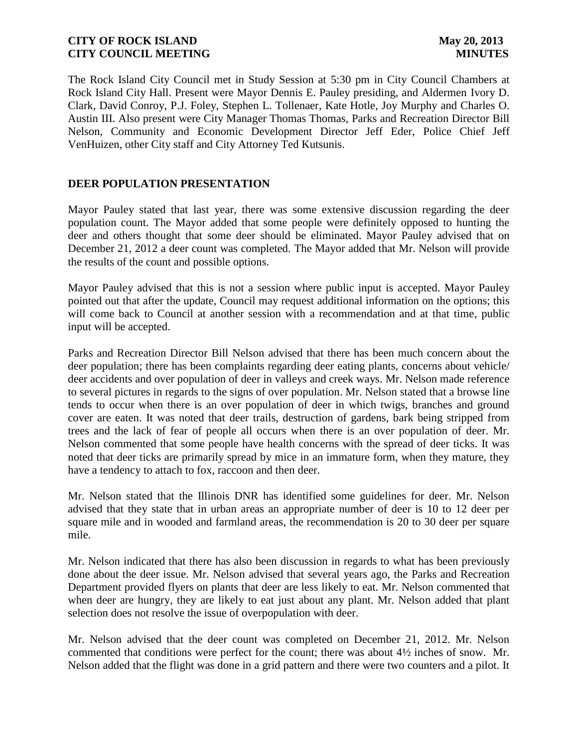The Rock Island City Council met in Study Session at 5:30 pm in City Council Chambers at Rock Island City Hall. Present were Mayor Dennis E. Pauley presiding, and Aldermen Ivory D. Clark, David Conroy, P.J. Foley, Stephen L. Tollenaer, Kate Hotle, Joy Murphy and Charles O. Austin III. Also present were City Manager Thomas Thomas, Parks and Recreation Director Bill Nelson, Community and Economic Development Director Jeff Eder, Police Chief Jeff VenHuizen, other City staff and City Attorney Ted Kutsunis.

# **DEER POPULATION PRESENTATION**

Mayor Pauley stated that last year, there was some extensive discussion regarding the deer population count. The Mayor added that some people were definitely opposed to hunting the deer and others thought that some deer should be eliminated. Mayor Pauley advised that on December 21, 2012 a deer count was completed. The Mayor added that Mr. Nelson will provide the results of the count and possible options.

Mayor Pauley advised that this is not a session where public input is accepted. Mayor Pauley pointed out that after the update, Council may request additional information on the options; this will come back to Council at another session with a recommendation and at that time, public input will be accepted.

Parks and Recreation Director Bill Nelson advised that there has been much concern about the deer population; there has been complaints regarding deer eating plants, concerns about vehicle/ deer accidents and over population of deer in valleys and creek ways. Mr. Nelson made reference to several pictures in regards to the signs of over population. Mr. Nelson stated that a browse line tends to occur when there is an over population of deer in which twigs, branches and ground cover are eaten. It was noted that deer trails, destruction of gardens, bark being stripped from trees and the lack of fear of people all occurs when there is an over population of deer. Mr. Nelson commented that some people have health concerns with the spread of deer ticks. It was noted that deer ticks are primarily spread by mice in an immature form, when they mature, they have a tendency to attach to fox, raccoon and then deer.

Mr. Nelson stated that the Illinois DNR has identified some guidelines for deer. Mr. Nelson advised that they state that in urban areas an appropriate number of deer is 10 to 12 deer per square mile and in wooded and farmland areas, the recommendation is 20 to 30 deer per square mile.

Mr. Nelson indicated that there has also been discussion in regards to what has been previously done about the deer issue. Mr. Nelson advised that several years ago, the Parks and Recreation Department provided flyers on plants that deer are less likely to eat. Mr. Nelson commented that when deer are hungry, they are likely to eat just about any plant. Mr. Nelson added that plant selection does not resolve the issue of overpopulation with deer.

Mr. Nelson advised that the deer count was completed on December 21, 2012. Mr. Nelson commented that conditions were perfect for the count; there was about 4½ inches of snow. Mr. Nelson added that the flight was done in a grid pattern and there were two counters and a pilot. It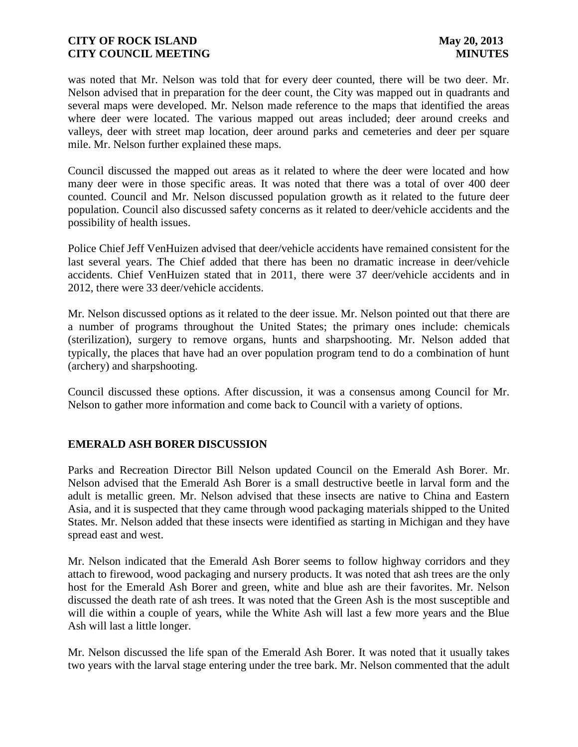was noted that Mr. Nelson was told that for every deer counted, there will be two deer. Mr. Nelson advised that in preparation for the deer count, the City was mapped out in quadrants and several maps were developed. Mr. Nelson made reference to the maps that identified the areas where deer were located. The various mapped out areas included; deer around creeks and valleys, deer with street map location, deer around parks and cemeteries and deer per square mile. Mr. Nelson further explained these maps.

Council discussed the mapped out areas as it related to where the deer were located and how many deer were in those specific areas. It was noted that there was a total of over 400 deer counted. Council and Mr. Nelson discussed population growth as it related to the future deer population. Council also discussed safety concerns as it related to deer/vehicle accidents and the possibility of health issues.

Police Chief Jeff VenHuizen advised that deer/vehicle accidents have remained consistent for the last several years. The Chief added that there has been no dramatic increase in deer/vehicle accidents. Chief VenHuizen stated that in 2011, there were 37 deer/vehicle accidents and in 2012, there were 33 deer/vehicle accidents.

Mr. Nelson discussed options as it related to the deer issue. Mr. Nelson pointed out that there are a number of programs throughout the United States; the primary ones include: chemicals (sterilization), surgery to remove organs, hunts and sharpshooting. Mr. Nelson added that typically, the places that have had an over population program tend to do a combination of hunt (archery) and sharpshooting.

Council discussed these options. After discussion, it was a consensus among Council for Mr. Nelson to gather more information and come back to Council with a variety of options.

# **EMERALD ASH BORER DISCUSSION**

Parks and Recreation Director Bill Nelson updated Council on the Emerald Ash Borer. Mr. Nelson advised that the Emerald Ash Borer is a small destructive beetle in larval form and the adult is metallic green. Mr. Nelson advised that these insects are native to China and Eastern Asia, and it is suspected that they came through wood packaging materials shipped to the United States. Mr. Nelson added that these insects were identified as starting in Michigan and they have spread east and west.

Mr. Nelson indicated that the Emerald Ash Borer seems to follow highway corridors and they attach to firewood, wood packaging and nursery products. It was noted that ash trees are the only host for the Emerald Ash Borer and green, white and blue ash are their favorites. Mr. Nelson discussed the death rate of ash trees. It was noted that the Green Ash is the most susceptible and will die within a couple of years, while the White Ash will last a few more years and the Blue Ash will last a little longer.

Mr. Nelson discussed the life span of the Emerald Ash Borer. It was noted that it usually takes two years with the larval stage entering under the tree bark. Mr. Nelson commented that the adult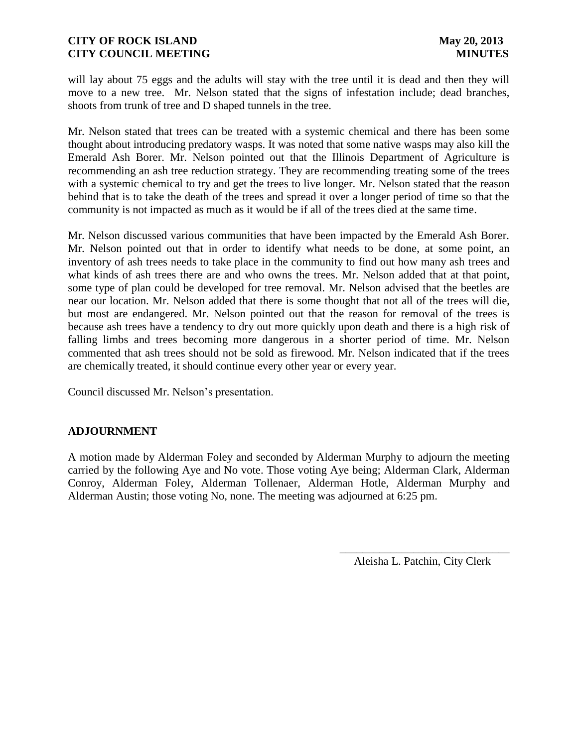will lay about 75 eggs and the adults will stay with the tree until it is dead and then they will move to a new tree. Mr. Nelson stated that the signs of infestation include; dead branches, shoots from trunk of tree and D shaped tunnels in the tree.

Mr. Nelson stated that trees can be treated with a systemic chemical and there has been some thought about introducing predatory wasps. It was noted that some native wasps may also kill the Emerald Ash Borer. Mr. Nelson pointed out that the Illinois Department of Agriculture is recommending an ash tree reduction strategy. They are recommending treating some of the trees with a systemic chemical to try and get the trees to live longer. Mr. Nelson stated that the reason behind that is to take the death of the trees and spread it over a longer period of time so that the community is not impacted as much as it would be if all of the trees died at the same time.

Mr. Nelson discussed various communities that have been impacted by the Emerald Ash Borer. Mr. Nelson pointed out that in order to identify what needs to be done, at some point, an inventory of ash trees needs to take place in the community to find out how many ash trees and what kinds of ash trees there are and who owns the trees. Mr. Nelson added that at that point, some type of plan could be developed for tree removal. Mr. Nelson advised that the beetles are near our location. Mr. Nelson added that there is some thought that not all of the trees will die, but most are endangered. Mr. Nelson pointed out that the reason for removal of the trees is because ash trees have a tendency to dry out more quickly upon death and there is a high risk of falling limbs and trees becoming more dangerous in a shorter period of time. Mr. Nelson commented that ash trees should not be sold as firewood. Mr. Nelson indicated that if the trees are chemically treated, it should continue every other year or every year.

Council discussed Mr. Nelson's presentation.

#### **ADJOURNMENT**

A motion made by Alderman Foley and seconded by Alderman Murphy to adjourn the meeting carried by the following Aye and No vote. Those voting Aye being; Alderman Clark, Alderman Conroy, Alderman Foley, Alderman Tollenaer, Alderman Hotle, Alderman Murphy and Alderman Austin; those voting No, none. The meeting was adjourned at 6:25 pm.

> \_\_\_\_\_\_\_\_\_\_\_\_\_\_\_\_\_\_\_\_\_\_\_\_\_\_\_\_\_\_ Aleisha L. Patchin, City Clerk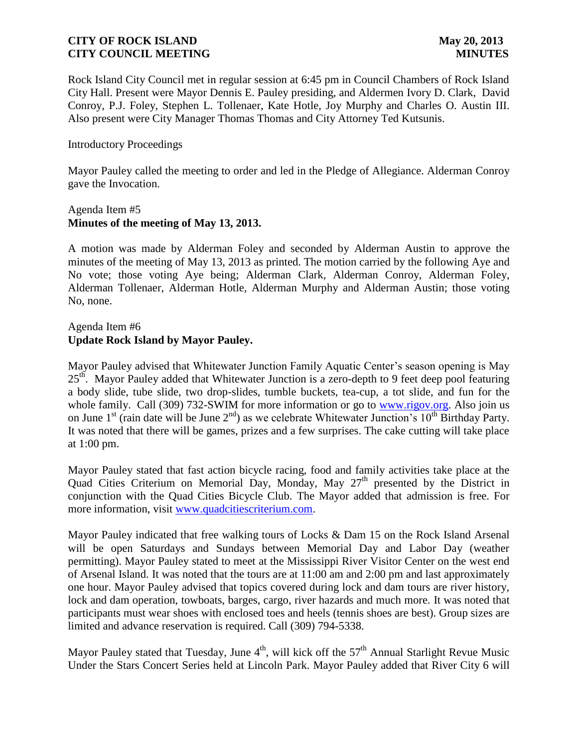Rock Island City Council met in regular session at 6:45 pm in Council Chambers of Rock Island City Hall. Present were Mayor Dennis E. Pauley presiding, and Aldermen Ivory D. Clark, David Conroy, P.J. Foley, Stephen L. Tollenaer, Kate Hotle, Joy Murphy and Charles O. Austin III. Also present were City Manager Thomas Thomas and City Attorney Ted Kutsunis.

#### Introductory Proceedings

Mayor Pauley called the meeting to order and led in the Pledge of Allegiance. Alderman Conroy gave the Invocation.

#### Agenda Item #5 **Minutes of the meeting of May 13, 2013.**

A motion was made by Alderman Foley and seconded by Alderman Austin to approve the minutes of the meeting of May 13, 2013 as printed. The motion carried by the following Aye and No vote; those voting Aye being; Alderman Clark, Alderman Conroy, Alderman Foley, Alderman Tollenaer, Alderman Hotle, Alderman Murphy and Alderman Austin; those voting No, none.

# Agenda Item #6 **Update Rock Island by Mayor Pauley.**

Mayor Pauley advised that Whitewater Junction Family Aquatic Center's season opening is May 25<sup>th</sup>. Mayor Pauley added that Whitewater Junction is a zero-depth to 9 feet deep pool featuring a body slide, tube slide, two drop-slides, tumble buckets, tea-cup, a tot slide, and fun for the whole family. Call (309) 732-SWIM for more information or go to [www.rigov.org.](http://www.rigov.org/) Also join us on June 1<sup>st</sup> (rain date will be June  $2<sup>nd</sup>$ ) as we celebrate Whitewater Junction's 10<sup>th</sup> Birthday Party. It was noted that there will be games, prizes and a few surprises. The cake cutting will take place at 1:00 pm.

Mayor Pauley stated that fast action bicycle racing, food and family activities take place at the Quad Cities Criterium on Memorial Day, Monday, May 27<sup>th</sup> presented by the District in conjunction with the Quad Cities Bicycle Club. The Mayor added that admission is free. For more information, visit [www.quadcitiescriterium.com.](http://www.quadcitiescriterium.com/)

Mayor Pauley indicated that free walking tours of Locks & Dam 15 on the Rock Island Arsenal will be open Saturdays and Sundays between Memorial Day and Labor Day (weather permitting). Mayor Pauley stated to meet at the Mississippi River Visitor Center on the west end of Arsenal Island. It was noted that the tours are at 11:00 am and 2:00 pm and last approximately one hour. Mayor Pauley advised that topics covered during lock and dam tours are river history, lock and dam operation, towboats, barges, cargo, river hazards and much more. It was noted that participants must wear shoes with enclosed toes and heels (tennis shoes are best). Group sizes are limited and advance reservation is required. Call (309) 794-5338.

Mayor Pauley stated that Tuesday, June  $4<sup>th</sup>$ , will kick off the  $57<sup>th</sup>$  Annual Starlight Revue Music Under the Stars Concert Series held at Lincoln Park. Mayor Pauley added that River City 6 will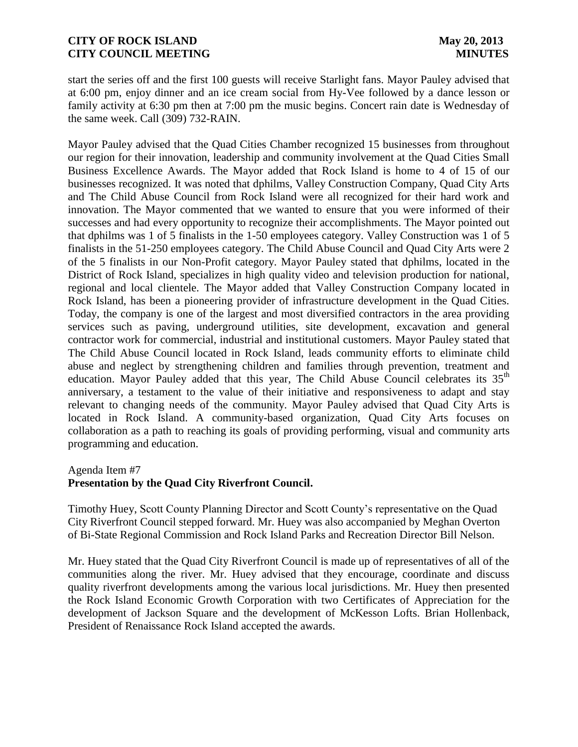start the series off and the first 100 guests will receive Starlight fans. Mayor Pauley advised that at 6:00 pm, enjoy dinner and an ice cream social from Hy-Vee followed by a dance lesson or family activity at 6:30 pm then at 7:00 pm the music begins. Concert rain date is Wednesday of the same week. Call (309) 732-RAIN.

Mayor Pauley advised that the Quad Cities Chamber recognized 15 businesses from throughout our region for their innovation, leadership and community involvement at the Quad Cities Small Business Excellence Awards. The Mayor added that Rock Island is home to 4 of 15 of our businesses recognized. It was noted that dphilms, Valley Construction Company, Quad City Arts and The Child Abuse Council from Rock Island were all recognized for their hard work and innovation. The Mayor commented that we wanted to ensure that you were informed of their successes and had every opportunity to recognize their accomplishments. The Mayor pointed out that dphilms was 1 of 5 finalists in the 1-50 employees category. Valley Construction was 1 of 5 finalists in the 51-250 employees category. The Child Abuse Council and Quad City Arts were 2 of the 5 finalists in our Non-Profit category. Mayor Pauley stated that dphilms, located in the District of Rock Island, specializes in high quality video and television production for national, regional and local clientele. The Mayor added that Valley Construction Company located in Rock Island, has been a pioneering provider of infrastructure development in the Quad Cities. Today, the company is one of the largest and most diversified contractors in the area providing services such as paving, underground utilities, site development, excavation and general contractor work for commercial, industrial and institutional customers. Mayor Pauley stated that The Child Abuse Council located in Rock Island, leads community efforts to eliminate child abuse and neglect by strengthening children and families through prevention, treatment and education. Mayor Pauley added that this year, The Child Abuse Council celebrates its  $35<sup>th</sup>$ anniversary, a testament to the value of their initiative and responsiveness to adapt and stay relevant to changing needs of the community. Mayor Pauley advised that Quad City Arts is located in Rock Island. A community-based organization, Quad City Arts focuses on collaboration as a path to reaching its goals of providing performing, visual and community arts programming and education.

#### Agenda Item #7

# **Presentation by the Quad City Riverfront Council.**

Timothy Huey, Scott County Planning Director and Scott County's representative on the Quad City Riverfront Council stepped forward. Mr. Huey was also accompanied by Meghan Overton of Bi-State Regional Commission and Rock Island Parks and Recreation Director Bill Nelson.

Mr. Huey stated that the Quad City Riverfront Council is made up of representatives of all of the communities along the river. Mr. Huey advised that they encourage, coordinate and discuss quality riverfront developments among the various local jurisdictions. Mr. Huey then presented the Rock Island Economic Growth Corporation with two Certificates of Appreciation for the development of Jackson Square and the development of McKesson Lofts. Brian Hollenback, President of Renaissance Rock Island accepted the awards.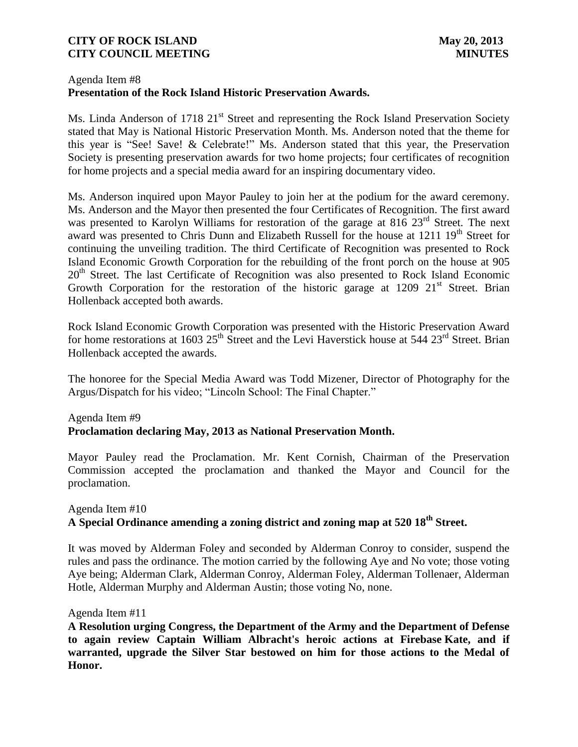#### Agenda Item #8 **Presentation of the Rock Island Historic Preservation Awards.**

Ms. Linda Anderson of 1718 21<sup>st</sup> Street and representing the Rock Island Preservation Society stated that May is National Historic Preservation Month. Ms. Anderson noted that the theme for this year is "See! Save! & Celebrate!" Ms. Anderson stated that this year, the Preservation Society is presenting preservation awards for two home projects; four certificates of recognition for home projects and a special media award for an inspiring documentary video.

Ms. Anderson inquired upon Mayor Pauley to join her at the podium for the award ceremony. Ms. Anderson and the Mayor then presented the four Certificates of Recognition. The first award was presented to Karolyn Williams for restoration of the garage at  $816\ 23<sup>rd</sup>$  Street. The next award was presented to Chris Dunn and Elizabeth Russell for the house at 1211 19<sup>th</sup> Street for continuing the unveiling tradition. The third Certificate of Recognition was presented to Rock Island Economic Growth Corporation for the rebuilding of the front porch on the house at 905 20<sup>th</sup> Street. The last Certificate of Recognition was also presented to Rock Island Economic Growth Corporation for the restoration of the historic garage at  $1209 \t21<sup>st</sup>$  Street. Brian Hollenback accepted both awards.

Rock Island Economic Growth Corporation was presented with the Historic Preservation Award for home restorations at 1603  $25<sup>th</sup>$  Street and the Levi Haverstick house at 544  $23<sup>rd</sup>$  Street. Brian Hollenback accepted the awards.

The honoree for the Special Media Award was Todd Mizener, Director of Photography for the Argus/Dispatch for his video; "Lincoln School: The Final Chapter."

# Agenda Item #9 **Proclamation declaring May, 2013 as National Preservation Month.**

Mayor Pauley read the Proclamation. Mr. Kent Cornish, Chairman of the Preservation Commission accepted the proclamation and thanked the Mayor and Council for the proclamation.

# Agenda Item #10 **A Special Ordinance amending a zoning district and zoning map at 520 18th Street.**

It was moved by Alderman Foley and seconded by Alderman Conroy to consider, suspend the rules and pass the ordinance. The motion carried by the following Aye and No vote; those voting Aye being; Alderman Clark, Alderman Conroy, Alderman Foley, Alderman Tollenaer, Alderman Hotle, Alderman Murphy and Alderman Austin; those voting No, none.

Agenda Item #11

**A Resolution urging Congress, the Department of the Army and the Department of Defense to again review Captain William Albracht's heroic actions at Firebase Kate, and if warranted, upgrade the Silver Star bestowed on him for those actions to the Medal of Honor.**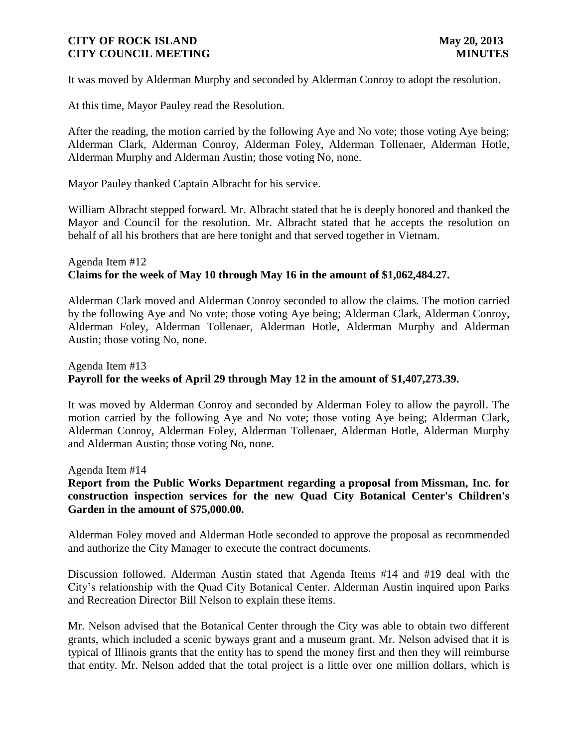It was moved by Alderman Murphy and seconded by Alderman Conroy to adopt the resolution.

At this time, Mayor Pauley read the Resolution.

After the reading, the motion carried by the following Aye and No vote; those voting Aye being; Alderman Clark, Alderman Conroy, Alderman Foley, Alderman Tollenaer, Alderman Hotle, Alderman Murphy and Alderman Austin; those voting No, none.

Mayor Pauley thanked Captain Albracht for his service.

William Albracht stepped forward. Mr. Albracht stated that he is deeply honored and thanked the Mayor and Council for the resolution. Mr. Albracht stated that he accepts the resolution on behalf of all his brothers that are here tonight and that served together in Vietnam.

# Agenda Item #12 **Claims for the week of May 10 through May 16 in the amount of \$1,062,484.27.**

 Alderman Clark moved and Alderman Conroy seconded to allow the claims. The motion carried by the following Aye and No vote; those voting Aye being; Alderman Clark, Alderman Conroy, Alderman Foley, Alderman Tollenaer, Alderman Hotle, Alderman Murphy and Alderman Austin; those voting No, none.

# Agenda Item #13 **Payroll for the weeks of April 29 through May 12 in the amount of \$1,407,273.39.**

It was moved by Alderman Conroy and seconded by Alderman Foley to allow the payroll. The motion carried by the following Aye and No vote; those voting Aye being; Alderman Clark, Alderman Conroy, Alderman Foley, Alderman Tollenaer, Alderman Hotle, Alderman Murphy and Alderman Austin; those voting No, none.

Agenda Item #14

# **Report from the Public Works Department regarding a proposal from Missman, Inc. for construction inspection services for the new Quad City Botanical Center's Children's Garden in the amount of \$75,000.00.**

Alderman Foley moved and Alderman Hotle seconded to approve the proposal as recommended and authorize the City Manager to execute the contract documents.

Discussion followed. Alderman Austin stated that Agenda Items #14 and #19 deal with the City's relationship with the Quad City Botanical Center. Alderman Austin inquired upon Parks and Recreation Director Bill Nelson to explain these items.

Mr. Nelson advised that the Botanical Center through the City was able to obtain two different grants, which included a scenic byways grant and a museum grant. Mr. Nelson advised that it is typical of Illinois grants that the entity has to spend the money first and then they will reimburse that entity. Mr. Nelson added that the total project is a little over one million dollars, which is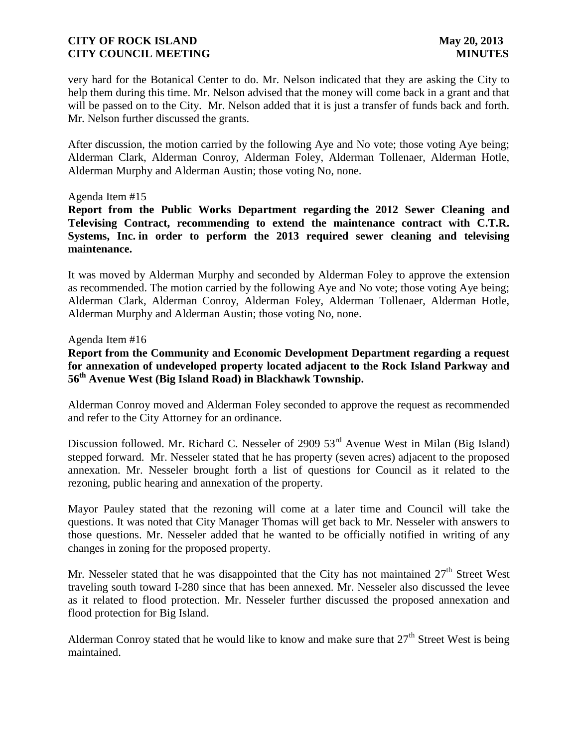very hard for the Botanical Center to do. Mr. Nelson indicated that they are asking the City to help them during this time. Mr. Nelson advised that the money will come back in a grant and that will be passed on to the City. Mr. Nelson added that it is just a transfer of funds back and forth. Mr. Nelson further discussed the grants.

After discussion, the motion carried by the following Aye and No vote; those voting Aye being; Alderman Clark, Alderman Conroy, Alderman Foley, Alderman Tollenaer, Alderman Hotle, Alderman Murphy and Alderman Austin; those voting No, none.

#### Agenda Item #15

**Report from the Public Works Department regarding the 2012 Sewer Cleaning and Televising Contract, recommending to extend the maintenance contract with C.T.R. Systems, Inc. in order to perform the 2013 required sewer cleaning and televising maintenance.** 

It was moved by Alderman Murphy and seconded by Alderman Foley to approve the extension as recommended. The motion carried by the following Aye and No vote; those voting Aye being; Alderman Clark, Alderman Conroy, Alderman Foley, Alderman Tollenaer, Alderman Hotle, Alderman Murphy and Alderman Austin; those voting No, none.

#### Agenda Item #16

**Report from the Community and Economic Development Department regarding a request for annexation of undeveloped property located adjacent to the Rock Island Parkway and 56th Avenue West (Big Island Road) in Blackhawk Township.**

Alderman Conroy moved and Alderman Foley seconded to approve the request as recommended and refer to the City Attorney for an ordinance.

Discussion followed. Mr. Richard C. Nesseler of 2909 53<sup>rd</sup> Avenue West in Milan (Big Island) stepped forward. Mr. Nesseler stated that he has property (seven acres) adjacent to the proposed annexation. Mr. Nesseler brought forth a list of questions for Council as it related to the rezoning, public hearing and annexation of the property.

Mayor Pauley stated that the rezoning will come at a later time and Council will take the questions. It was noted that City Manager Thomas will get back to Mr. Nesseler with answers to those questions. Mr. Nesseler added that he wanted to be officially notified in writing of any changes in zoning for the proposed property.

Mr. Nesseler stated that he was disappointed that the City has not maintained  $27<sup>th</sup>$  Street West traveling south toward I-280 since that has been annexed. Mr. Nesseler also discussed the levee as it related to flood protection. Mr. Nesseler further discussed the proposed annexation and flood protection for Big Island.

Alderman Conrov stated that he would like to know and make sure that  $27<sup>th</sup>$  Street West is being maintained.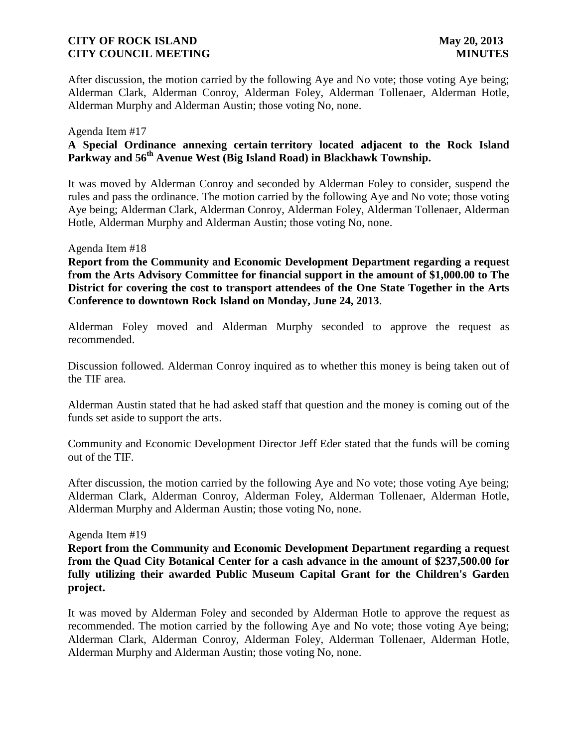After discussion, the motion carried by the following Aye and No vote; those voting Aye being; Alderman Clark, Alderman Conroy, Alderman Foley, Alderman Tollenaer, Alderman Hotle, Alderman Murphy and Alderman Austin; those voting No, none.

#### Agenda Item #17

# **A Special Ordinance annexing certain territory located adjacent to the Rock Island Parkway and 56th Avenue West (Big Island Road) in Blackhawk Township.**

It was moved by Alderman Conroy and seconded by Alderman Foley to consider, suspend the rules and pass the ordinance. The motion carried by the following Aye and No vote; those voting Aye being; Alderman Clark, Alderman Conroy, Alderman Foley, Alderman Tollenaer, Alderman Hotle, Alderman Murphy and Alderman Austin; those voting No, none.

#### Agenda Item #18

**Report from the Community and Economic Development Department regarding a request from the Arts Advisory Committee for financial support in the amount of \$1,000.00 to The District for covering the cost to transport attendees of the One State Together in the Arts Conference to downtown Rock Island on Monday, June 24, 2013**.

Alderman Foley moved and Alderman Murphy seconded to approve the request as recommended.

Discussion followed. Alderman Conroy inquired as to whether this money is being taken out of the TIF area.

Alderman Austin stated that he had asked staff that question and the money is coming out of the funds set aside to support the arts.

Community and Economic Development Director Jeff Eder stated that the funds will be coming out of the TIF.

After discussion, the motion carried by the following Aye and No vote; those voting Aye being; Alderman Clark, Alderman Conroy, Alderman Foley, Alderman Tollenaer, Alderman Hotle, Alderman Murphy and Alderman Austin; those voting No, none.

#### Agenda Item #19

**Report from the Community and Economic Development Department regarding a request from the Quad City Botanical Center for a cash advance in the amount of \$237,500.00 for fully utilizing their awarded Public Museum Capital Grant for the Children's Garden project.**

It was moved by Alderman Foley and seconded by Alderman Hotle to approve the request as recommended. The motion carried by the following Aye and No vote; those voting Aye being; Alderman Clark, Alderman Conroy, Alderman Foley, Alderman Tollenaer, Alderman Hotle, Alderman Murphy and Alderman Austin; those voting No, none.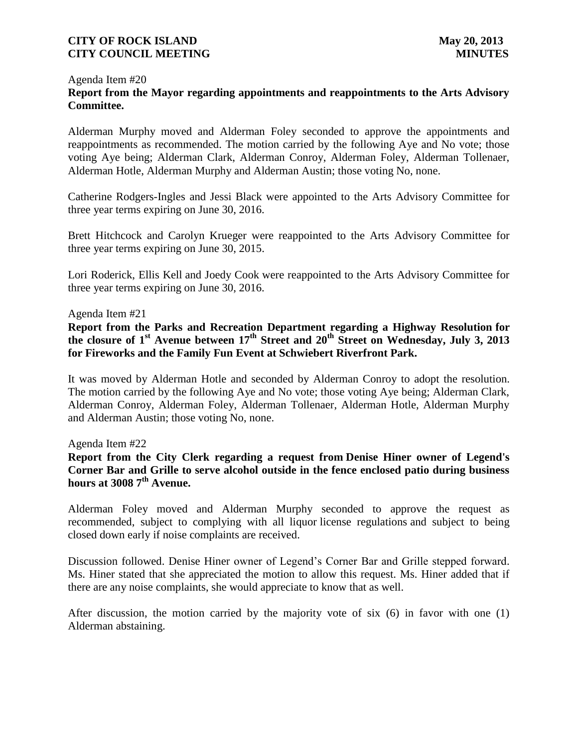# Agenda Item #20 **Report from the Mayor regarding appointments and reappointments to the Arts Advisory Committee.**

Alderman Murphy moved and Alderman Foley seconded to approve the appointments and reappointments as recommended. The motion carried by the following Aye and No vote; those voting Aye being; Alderman Clark, Alderman Conroy, Alderman Foley, Alderman Tollenaer, Alderman Hotle, Alderman Murphy and Alderman Austin; those voting No, none.

Catherine Rodgers-Ingles and Jessi Black were appointed to the Arts Advisory Committee for three year terms expiring on June 30, 2016.

Brett Hitchcock and Carolyn Krueger were reappointed to the Arts Advisory Committee for three year terms expiring on June 30, 2015.

Lori Roderick, Ellis Kell and Joedy Cook were reappointed to the Arts Advisory Committee for three year terms expiring on June 30, 2016.

#### Agenda Item #21

**Report from the Parks and Recreation Department regarding a Highway Resolution for the closure of 1st Avenue between 17th Street and 20th Street on Wednesday, July 3, 2013 for Fireworks and the Family Fun Event at Schwiebert Riverfront Park.**

It was moved by Alderman Hotle and seconded by Alderman Conroy to adopt the resolution. The motion carried by the following Aye and No vote; those voting Aye being; Alderman Clark, Alderman Conroy, Alderman Foley, Alderman Tollenaer, Alderman Hotle, Alderman Murphy and Alderman Austin; those voting No, none.

#### Agenda Item #22

# **Report from the City Clerk regarding a request from Denise Hiner owner of Legend's Corner Bar and Grille to serve alcohol outside in the fence enclosed patio during business hours at 3008 7th Avenue.**

Alderman Foley moved and Alderman Murphy seconded to approve the request as recommended, subject to complying with all liquor license regulations and subject to being closed down early if noise complaints are received.

Discussion followed. Denise Hiner owner of Legend's Corner Bar and Grille stepped forward. Ms. Hiner stated that she appreciated the motion to allow this request. Ms. Hiner added that if there are any noise complaints, she would appreciate to know that as well.

After discussion, the motion carried by the majority vote of six (6) in favor with one (1) Alderman abstaining.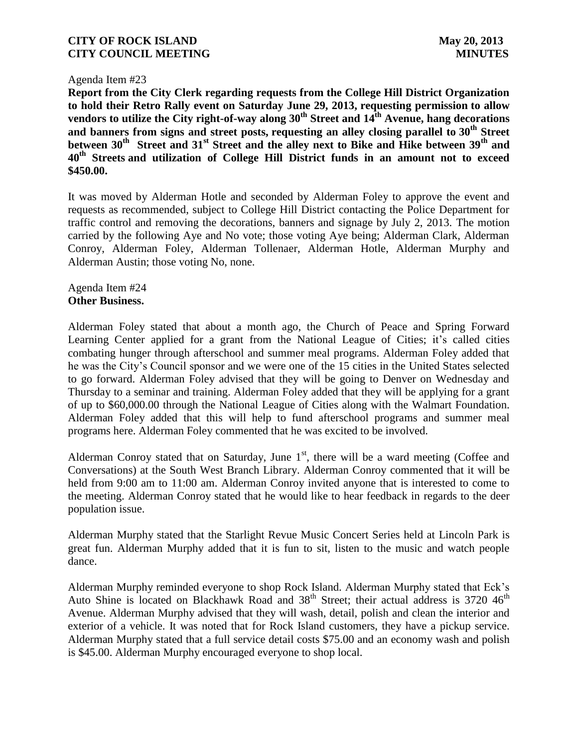#### Agenda Item #23

**Report from the City Clerk regarding requests from the College Hill District Organization to hold their Retro Rally event on Saturday June 29, 2013, requesting permission to allow vendors to utilize the City right-of-way along 30th Street and 14th Avenue, hang decorations and banners from signs and street posts, requesting an alley closing parallel to 30th Street between 30th Street and 31st Street and the alley next to Bike and Hike between 39th and 40th Streets and utilization of College Hill District funds in an amount not to exceed \$450.00.**

It was moved by Alderman Hotle and seconded by Alderman Foley to approve the event and requests as recommended, subject to College Hill District contacting the Police Department for traffic control and removing the decorations, banners and signage by July 2, 2013. The motion carried by the following Aye and No vote; those voting Aye being; Alderman Clark, Alderman Conroy, Alderman Foley, Alderman Tollenaer, Alderman Hotle, Alderman Murphy and Alderman Austin; those voting No, none.

#### Agenda Item #24 **Other Business.**

Alderman Foley stated that about a month ago, the Church of Peace and Spring Forward Learning Center applied for a grant from the National League of Cities; it's called cities combating hunger through afterschool and summer meal programs. Alderman Foley added that he was the City's Council sponsor and we were one of the 15 cities in the United States selected to go forward. Alderman Foley advised that they will be going to Denver on Wednesday and Thursday to a seminar and training. Alderman Foley added that they will be applying for a grant of up to \$60,000.00 through the National League of Cities along with the Walmart Foundation. Alderman Foley added that this will help to fund afterschool programs and summer meal programs here. Alderman Foley commented that he was excited to be involved.

Alderman Conroy stated that on Saturday, June  $1<sup>st</sup>$ , there will be a ward meeting (Coffee and Conversations) at the South West Branch Library. Alderman Conroy commented that it will be held from 9:00 am to 11:00 am. Alderman Conroy invited anyone that is interested to come to the meeting. Alderman Conroy stated that he would like to hear feedback in regards to the deer population issue.

Alderman Murphy stated that the Starlight Revue Music Concert Series held at Lincoln Park is great fun. Alderman Murphy added that it is fun to sit, listen to the music and watch people dance.

Alderman Murphy reminded everyone to shop Rock Island. Alderman Murphy stated that Eck's Auto Shine is located on Blackhawk Road and  $38<sup>th</sup>$  Street; their actual address is 3720 46<sup>th</sup> Avenue. Alderman Murphy advised that they will wash, detail, polish and clean the interior and exterior of a vehicle. It was noted that for Rock Island customers, they have a pickup service. Alderman Murphy stated that a full service detail costs \$75.00 and an economy wash and polish is \$45.00. Alderman Murphy encouraged everyone to shop local.